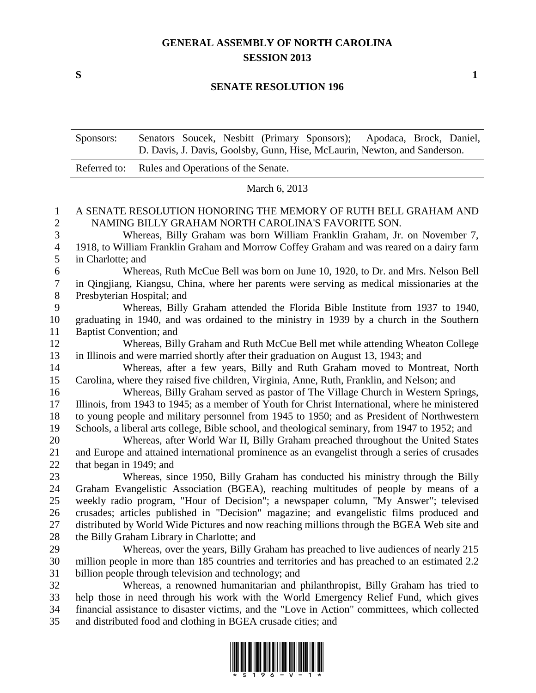## **GENERAL ASSEMBLY OF NORTH CAROLINA SESSION 2013**

**S 1**

#### **SENATE RESOLUTION 196**

Sponsors: Senators Soucek, Nesbitt (Primary Sponsors); Apodaca, Brock, Daniel, D. Davis, J. Davis, Goolsby, Gunn, Hise, McLaurin, Newton, and Sanderson.

| Referred to: Rules and Operations of the Senate. |
|--------------------------------------------------|
|                                                  |

#### March 6, 2013

### A SENATE RESOLUTION HONORING THE MEMORY OF RUTH BELL GRAHAM AND NAMING BILLY GRAHAM NORTH CAROLINA'S FAVORITE SON.

 Whereas, Billy Graham was born William Franklin Graham, Jr. on November 7, 1918, to William Franklin Graham and Morrow Coffey Graham and was reared on a dairy farm in Charlotte; and

 Whereas, Ruth McCue Bell was born on June 10, 1920, to Dr. and Mrs. Nelson Bell in Qingjiang, Kiangsu, China, where her parents were serving as medical missionaries at the Presbyterian Hospital; and

 Whereas, Billy Graham attended the Florida Bible Institute from 1937 to 1940, graduating in 1940, and was ordained to the ministry in 1939 by a church in the Southern Baptist Convention; and

 Whereas, Billy Graham and Ruth McCue Bell met while attending Wheaton College in Illinois and were married shortly after their graduation on August 13, 1943; and

 Whereas, after a few years, Billy and Ruth Graham moved to Montreat, North Carolina, where they raised five children, Virginia, Anne, Ruth, Franklin, and Nelson; and

 Whereas, Billy Graham served as pastor of The Village Church in Western Springs, Illinois, from 1943 to 1945; as a member of Youth for Christ International, where he ministered to young people and military personnel from 1945 to 1950; and as President of Northwestern Schools, a liberal arts college, Bible school, and theological seminary, from 1947 to 1952; and

 Whereas, after World War II, Billy Graham preached throughout the United States and Europe and attained international prominence as an evangelist through a series of crusades that began in 1949; and

 Whereas, since 1950, Billy Graham has conducted his ministry through the Billy Graham Evangelistic Association (BGEA), reaching multitudes of people by means of a weekly radio program, "Hour of Decision"; a newspaper column, "My Answer"; televised crusades; articles published in "Decision" magazine; and evangelistic films produced and distributed by World Wide Pictures and now reaching millions through the BGEA Web site and 28 the Billy Graham Library in Charlotte; and

 Whereas, over the years, Billy Graham has preached to live audiences of nearly 215 million people in more than 185 countries and territories and has preached to an estimated 2.2 billion people through television and technology; and

 Whereas, a renowned humanitarian and philanthropist, Billy Graham has tried to help those in need through his work with the World Emergency Relief Fund, which gives financial assistance to disaster victims, and the "Love in Action" committees, which collected and distributed food and clothing in BGEA crusade cities; and

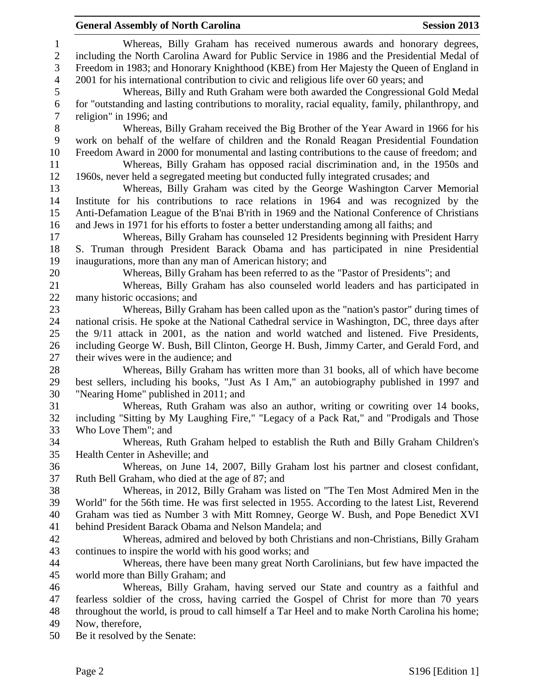#### **General Assembly of North Carolina Session 2013**

 Whereas, Billy Graham has received numerous awards and honorary degrees, including the North Carolina Award for Public Service in 1986 and the Presidential Medal of Freedom in 1983; and Honorary Knighthood (KBE) from Her Majesty the Queen of England in 2001 for his international contribution to civic and religious life over 60 years; and Whereas, Billy and Ruth Graham were both awarded the Congressional Gold Medal for "outstanding and lasting contributions to morality, racial equality, family, philanthropy, and religion" in 1996; and Whereas, Billy Graham received the Big Brother of the Year Award in 1966 for his work on behalf of the welfare of children and the Ronald Reagan Presidential Foundation Freedom Award in 2000 for monumental and lasting contributions to the cause of freedom; and Whereas, Billy Graham has opposed racial discrimination and, in the 1950s and 1960s, never held a segregated meeting but conducted fully integrated crusades; and Whereas, Billy Graham was cited by the George Washington Carver Memorial Institute for his contributions to race relations in 1964 and was recognized by the Anti-Defamation League of the B'nai B'rith in 1969 and the National Conference of Christians and Jews in 1971 for his efforts to foster a better understanding among all faiths; and Whereas, Billy Graham has counseled 12 Presidents beginning with President Harry S. Truman through President Barack Obama and has participated in nine Presidential inaugurations, more than any man of American history; and Whereas, Billy Graham has been referred to as the "Pastor of Presidents"; and Whereas, Billy Graham has also counseled world leaders and has participated in many historic occasions; and Whereas, Billy Graham has been called upon as the "nation's pastor" during times of national crisis. He spoke at the National Cathedral service in Washington, DC, three days after the 9/11 attack in 2001, as the nation and world watched and listened. Five Presidents, including George W. Bush, Bill Clinton, George H. Bush, Jimmy Carter, and Gerald Ford, and their wives were in the audience; and Whereas, Billy Graham has written more than 31 books, all of which have become best sellers, including his books, "Just As I Am," an autobiography published in 1997 and "Nearing Home" published in 2011; and Whereas, Ruth Graham was also an author, writing or cowriting over 14 books, including "Sitting by My Laughing Fire," "Legacy of a Pack Rat," and "Prodigals and Those Who Love Them"; and Whereas, Ruth Graham helped to establish the Ruth and Billy Graham Children's Health Center in Asheville; and Whereas, on June 14, 2007, Billy Graham lost his partner and closest confidant, Ruth Bell Graham, who died at the age of 87; and Whereas, in 2012, Billy Graham was listed on "The Ten Most Admired Men in the World" for the 56th time. He was first selected in 1955. According to the latest List, Reverend Graham was tied as Number 3 with Mitt Romney, George W. Bush, and Pope Benedict XVI behind President Barack Obama and Nelson Mandela; and Whereas, admired and beloved by both Christians and non-Christians, Billy Graham continues to inspire the world with his good works; and Whereas, there have been many great North Carolinians, but few have impacted the world more than Billy Graham; and Whereas, Billy Graham, having served our State and country as a faithful and fearless soldier of the cross, having carried the Gospel of Christ for more than 70 years throughout the world, is proud to call himself a Tar Heel and to make North Carolina his home; Now, therefore, Be it resolved by the Senate: